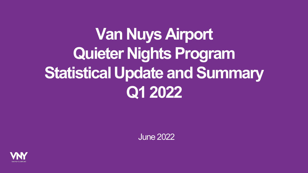

**Van Nuys Airport Quieter Nights Program Statistical Update and Summary Q1 2022**

June 2022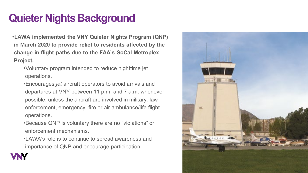# **Quieter Nights Background**

- •**LAWA implemented the VNY Quieter Nights Program (QNP) in March 2020 to provide relief to residents affected by the change in flight paths due to the FAA's SoCal Metroplex Project.**
	- •Voluntary program intended to reduce nighttime jet operations.
	- •Encourages *jet* aircraft operators to avoid arrivals and departures at VNY between 11 p.m. and 7 a.m. whenever possible, unless the aircraft are involved in military, law enforcement, emergency, fire or air ambulance/life flight operations.
	- •Because QNP is voluntary there are no "violations" or enforcement mechanisms.
	- •LAWA's role is to continue to spread awareness and importance of QNP and encourage participation.



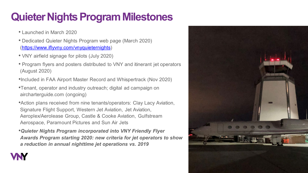### **Quieter Nights Program Milestones**

- Launched in March 2020
- Dedicated Quieter Nights Program web page (March 2020) ([https://www.iflyvny.com/vnyquieternights\)](https://www.iflyvny.com/vnyquieternights)
- VNY airfield signage for pilots (July 2020)
- Program flyers and posters distributed to VNY and itinerant jet operators (August 2020)
- •Included in FAA Airport Master Record and Whispertrack (Nov 2020)
- •Tenant, operator and industry outreach; digital ad campaign on aircharterguide.com (ongoing)
- •Action plans received from nine tenants/operators: Clay Lacy Aviation, Signature Flight Support, Western Jet Aviation, Jet Aviation, Aeroplex/Aerolease Group, Castle & Cooke Aviation, Gulfstream Aerospace, Paramount Pictures and Sun Air Jets
- •*Quieter Nights Program incorporated into VNY Friendly Flyer Awards Program starting 2020: new criteria for jet operators to show a reduction in annual nighttime jet operations vs. 2019*



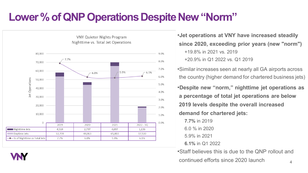### **Lower % of QNP Operations Despite New "Norm"**





|         | 9.0% |
|---------|------|
| $-6.1%$ | 8.0% |
|         | 7.0% |
|         | 6.0% |
|         | 5.0% |
|         | 4.0% |
|         | 3.0% |
|         | 2.0% |
|         | 1.0% |
| 1Q      | 0.0% |
| 5       |      |
| 0       |      |
|         |      |
|         |      |

4

•**Jet operations at VNY have increased steadily since 2020, exceeding prior years (new "norm")** +19.8% in 2021 vs. 2019 +20.9% in Q1 2022 vs. Q1 2019

•Similar increases seen at nearly all GA airports across the country (higher demand for chartered business jets)

•**Despite new "norm," nighttime jet operations as a percentage of total jet operations are below 2019 levels despite the overall increased demand for chartered jets:**

**7.7%** in 2019

6.0 % in 2020

5.9% in 2021

**6.1%** in Q1 2022

•Staff believes this is due to the QNP rollout and continued efforts since 2020 launch

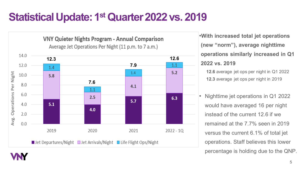## **Statistical Update: 1st Quarter 2022 vs. 2019**



•**With increased total jet operations (new "norm"), average nighttime operations similarly increased in Q1 2022 vs. 2019**

**12.6** average jet ops per night in Q1 2022 **12.3** average jet ops per night in 2019

• Nighttime jet operations in Q1 2022 would have averaged 16 per night instead of the current 12.6 if we remained at the 7.7% seen in 2019 versus the current 6.1% of total jet operations. Staff believes this lower percentage is holding due to the QNP.